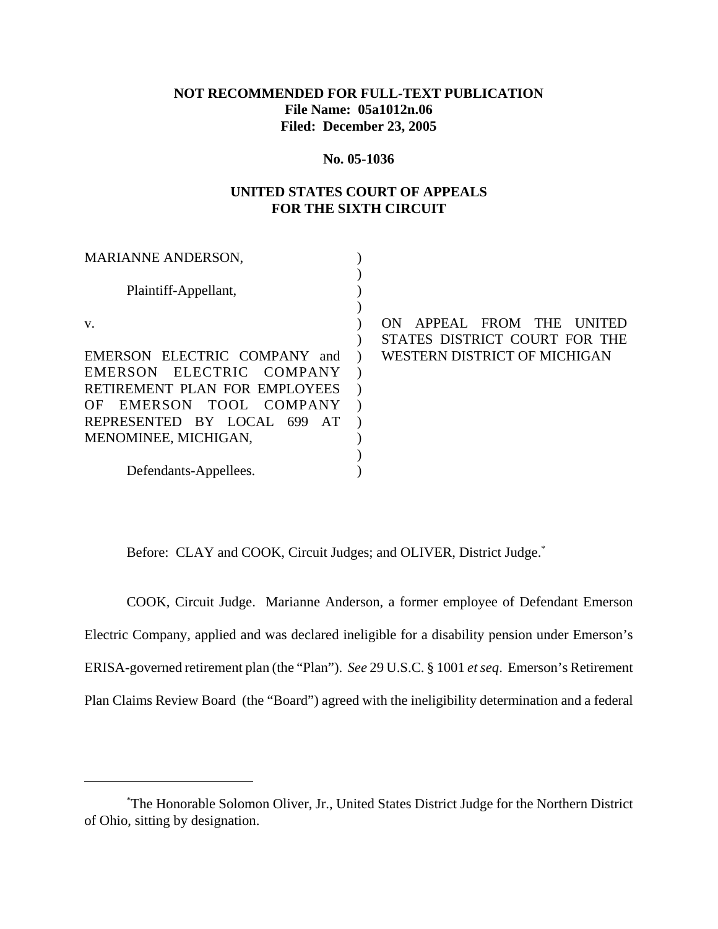#### **NOT RECOMMENDED FOR FULL-TEXT PUBLICATION File Name: 05a1012n.06 Filed: December 23, 2005**

#### **No. 05-1036**

#### **UNITED STATES COURT OF APPEALS FOR THE SIXTH CIRCUIT**

| <b>MARIANNE ANDERSON,</b>        |                                 |
|----------------------------------|---------------------------------|
|                                  |                                 |
| Plaintiff-Appellant,             |                                 |
|                                  |                                 |
| V.                               | APPEAL FROM THE<br>ON<br>UNITED |
|                                  | STATES DISTRICT COURT FOR THE   |
| EMERSON ELECTRIC COMPANY and     | WESTERN DISTRICT OF MICHIGAN    |
| EMERSON ELECTRIC COMPANY         |                                 |
| RETIREMENT PLAN FOR EMPLOYEES    |                                 |
| EMERSON TOOL COMPANY<br>OF.      |                                 |
| REPRESENTED BY LOCAL 699<br>- AT |                                 |
| MENOMINEE, MICHIGAN,             |                                 |
|                                  |                                 |
| Defendants-Appellees.            |                                 |

Before: CLAY and COOK, Circuit Judges; and OLIVER, District Judge.<sup>\*</sup>

COOK, Circuit Judge. Marianne Anderson, a former employee of Defendant Emerson Electric Company, applied and was declared ineligible for a disability pension under Emerson's ERISA-governed retirement plan (the "Plan"). *See* 29 U.S.C. § 1001 *et seq*. Emerson's Retirement Plan Claims Review Board (the "Board") agreed with the ineligibility determination and a federal

<sup>\*</sup> The Honorable Solomon Oliver, Jr., United States District Judge for the Northern District of Ohio, sitting by designation.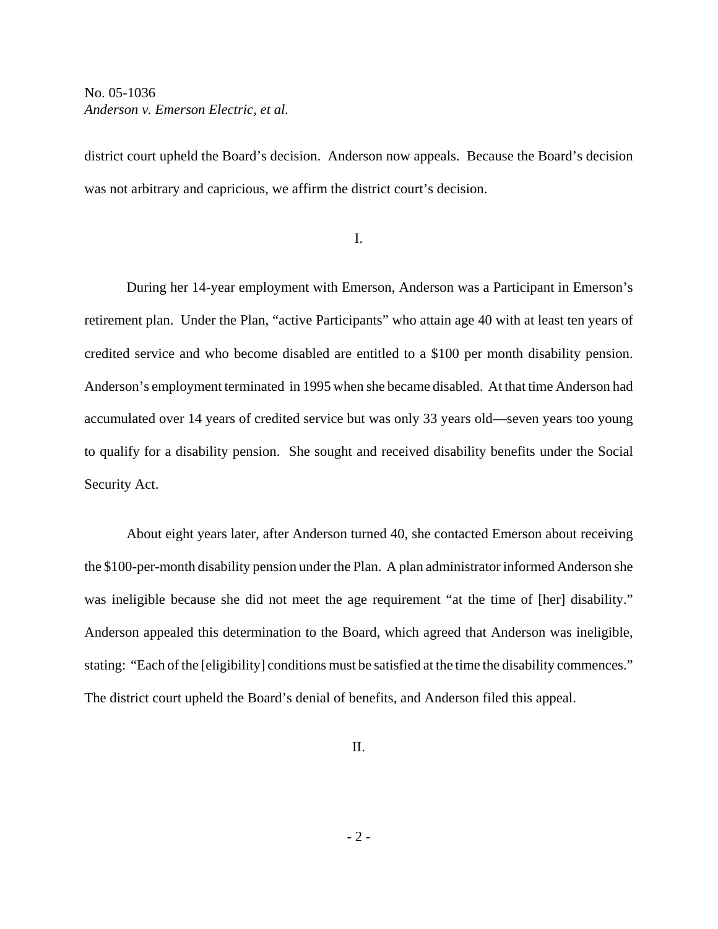district court upheld the Board's decision. Anderson now appeals. Because the Board's decision was not arbitrary and capricious, we affirm the district court's decision.

I.

During her 14-year employment with Emerson, Anderson was a Participant in Emerson's retirement plan.Under the Plan, "active Participants" who attain age 40 with at least ten years of credited service and who become disabled are entitled to a \$100 per month disability pension. Anderson's employment terminated in 1995 when she became disabled. At that time Anderson had accumulated over 14 years of credited service but was only 33 years old—seven years too young to qualify for a disability pension. She sought and received disability benefits under the Social Security Act.

About eight years later, after Anderson turned 40, she contacted Emerson about receiving the \$100-per-month disability pension under the Plan. A plan administrator informed Anderson she was ineligible because she did not meet the age requirement "at the time of [her] disability." Anderson appealed this determination to the Board, which agreed that Anderson was ineligible, stating: "Each of the [eligibility] conditions must be satisfied at the time the disability commences." The district court upheld the Board's denial of benefits, and Anderson filed this appeal.

II.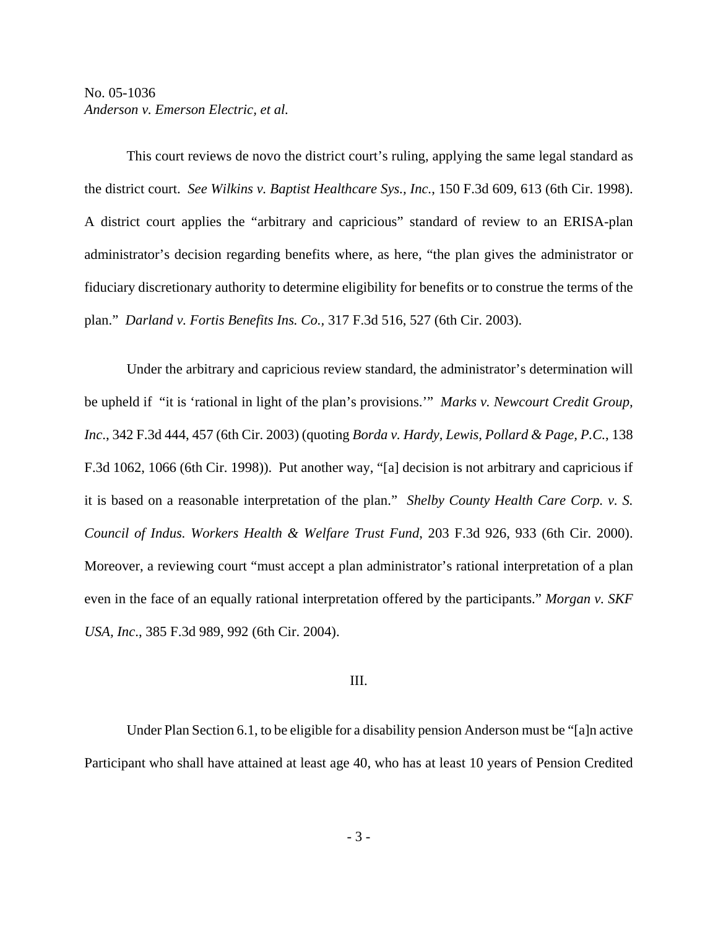This court reviews de novo the district court's ruling, applying the same legal standard as the district court. *See Wilkins v. Baptist Healthcare Sys., Inc.*, 150 F.3d 609, 613 (6th Cir. 1998). A district court applies the "arbitrary and capricious" standard of review to an ERISA-plan administrator's decision regarding benefits where, as here, "the plan gives the administrator or fiduciary discretionary authority to determine eligibility for benefits or to construe the terms of the plan." *Darland v. Fortis Benefits Ins. Co.,* 317 F.3d 516, 527 (6th Cir. 2003).

Under the arbitrary and capricious review standard, the administrator's determination will be upheld if "it is 'rational in light of the plan's provisions.'" *Marks v. Newcourt Credit Group, Inc*., 342 F.3d 444, 457 (6th Cir. 2003) (quoting *Borda v. Hardy, Lewis, Pollard & Page, P.C.*, 138 F.3d 1062, 1066 (6th Cir. 1998)). Put another way, "[a] decision is not arbitrary and capricious if it is based on a reasonable interpretation of the plan." *Shelby County Health Care Corp. v. S. Council of Indus. Workers Health & Welfare Trust Fund*, 203 F.3d 926, 933 (6th Cir. 2000). Moreover, a reviewing court "must accept a plan administrator's rational interpretation of a plan even in the face of an equally rational interpretation offered by the participants." *Morgan v. SKF USA, Inc*., 385 F.3d 989, 992 (6th Cir. 2004).

#### III.

Under Plan Section 6.1, to be eligible for a disability pension Anderson must be "[a]n active Participant who shall have attained at least age 40, who has at least 10 years of Pension Credited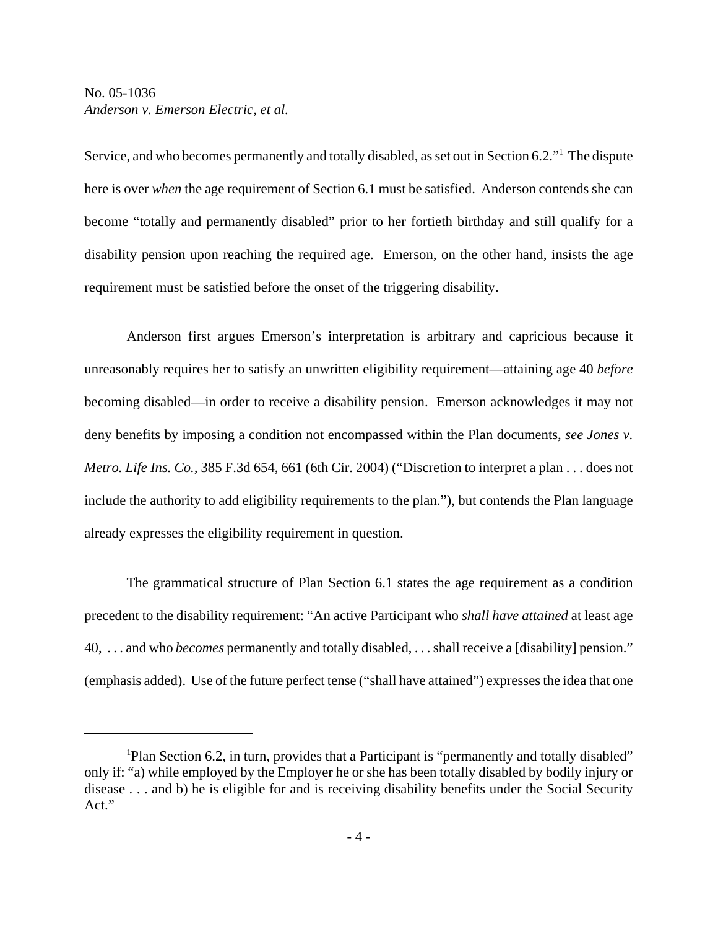Service, and who becomes permanently and totally disabled, as set out in Section 6.2."<sup>1</sup> The dispute here is over *when* the age requirement of Section 6.1 must be satisfied. Anderson contends she can become "totally and permanently disabled" prior to her fortieth birthday and still qualify for a disability pension upon reaching the required age. Emerson, on the other hand, insists the age requirement must be satisfied before the onset of the triggering disability.

Anderson first argues Emerson's interpretation is arbitrary and capricious because it unreasonably requires her to satisfy an unwritten eligibility requirement—attaining age 40 *before* becoming disabled—in order to receive a disability pension. Emerson acknowledges it may not deny benefits by imposing a condition not encompassed within the Plan documents, *see Jones v. Metro. Life Ins. Co.,* 385 F.3d 654, 661 (6th Cir. 2004) ("Discretion to interpret a plan . . . does not include the authority to add eligibility requirements to the plan."), but contends the Plan language already expresses the eligibility requirement in question.

The grammatical structure of Plan Section 6.1 states the age requirement as a condition precedent to the disability requirement: "An active Participant who *shall have attained* at least age 40, . . . and who *becomes* permanently and totally disabled, . . . shall receive a [disability] pension." (emphasis added). Use of the future perfect tense ("shall have attained") expresses the idea that one

<sup>&</sup>lt;sup>1</sup>Plan Section 6.2, in turn, provides that a Participant is "permanently and totally disabled" only if: "a) while employed by the Employer he or she has been totally disabled by bodily injury or disease . . . and b) he is eligible for and is receiving disability benefits under the Social Security Act."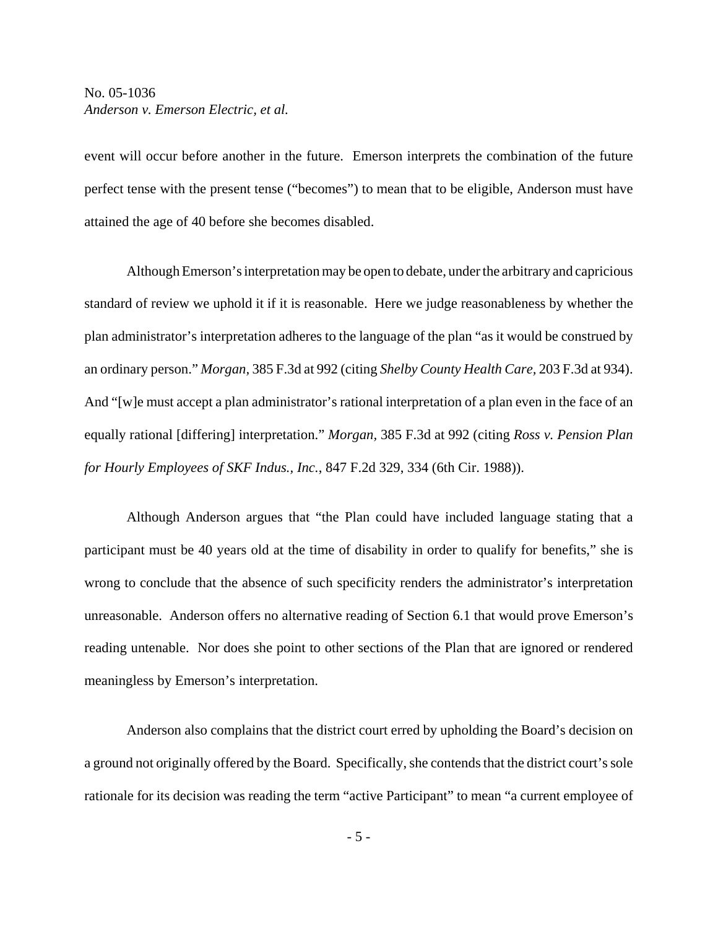event will occur before another in the future. Emerson interprets the combination of the future perfect tense with the present tense ("becomes") to mean that to be eligible, Anderson must have attained the age of 40 before she becomes disabled.

Although Emerson's interpretation may be open to debate, under the arbitrary and capricious standard of review we uphold it if it is reasonable. Here we judge reasonableness by whether the plan administrator's interpretation adheres to the language of the plan "as it would be construed by an ordinary person." *Morgan,* 385 F.3d at 992 (citing *Shelby County Health Care,* 203 F.3d at 934). And "[w]e must accept a plan administrator's rational interpretation of a plan even in the face of an equally rational [differing] interpretation." *Morgan,* 385 F.3d at 992 (citing *Ross v. Pension Plan for Hourly Employees of SKF Indus., Inc.*, 847 F.2d 329, 334 (6th Cir. 1988)).

Although Anderson argues that "the Plan could have included language stating that a participant must be 40 years old at the time of disability in order to qualify for benefits," she is wrong to conclude that the absence of such specificity renders the administrator's interpretation unreasonable. Anderson offers no alternative reading of Section 6.1 that would prove Emerson's reading untenable. Nor does she point to other sections of the Plan that are ignored or rendered meaningless by Emerson's interpretation.

Anderson also complains that the district court erred by upholding the Board's decision on a ground not originally offered by the Board. Specifically, she contends that the district court's sole rationale for its decision was reading the term "active Participant" to mean "a current employee of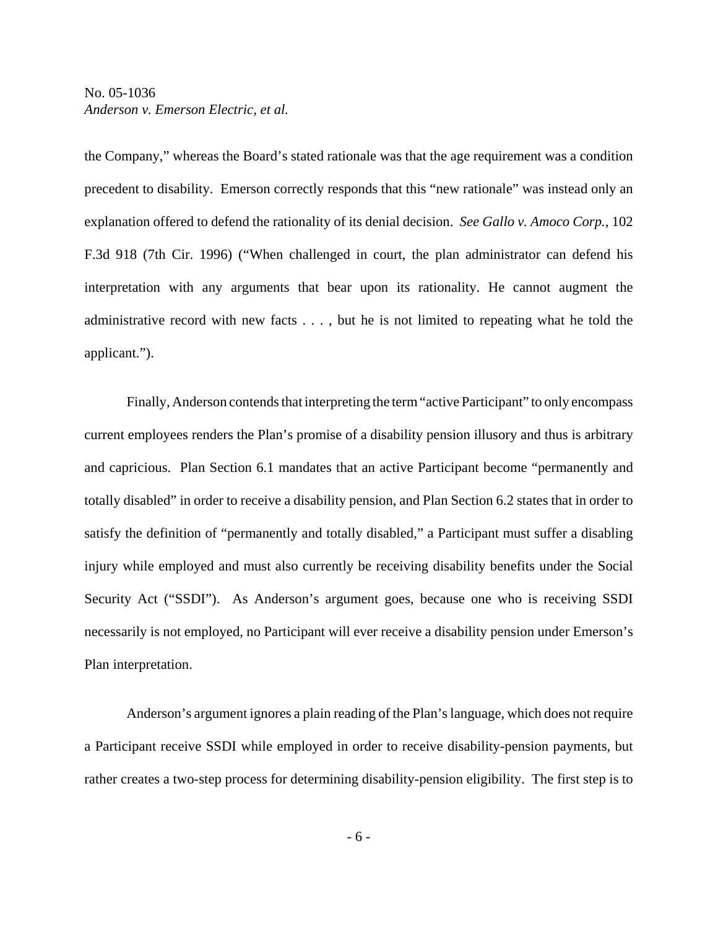the Company," whereas the Board's stated rationale was that the age requirement was a condition precedent to disability. Emerson correctly responds that this "new rationale" was instead only an explanation offered to defend the rationality of its denial decision. *See Gallo v. Amoco Corp.*, 102 F.3d 918 (7th Cir. 1996) ("When challenged in court, the plan administrator can defend his interpretation with any arguments that bear upon its rationality. He cannot augment the administrative record with new facts . . . , but he is not limited to repeating what he told the applicant.").

Finally, Anderson contends that interpreting the term "active Participant" to only encompass current employees renders the Plan's promise of a disability pension illusory and thus is arbitrary and capricious. Plan Section 6.1 mandates that an active Participant become "permanently and totally disabled" in order to receive a disability pension, and Plan Section 6.2 states that in order to satisfy the definition of "permanently and totally disabled," a Participant must suffer a disabling injury while employed and must also currently be receiving disability benefits under the Social Security Act ("SSDI"). As Anderson's argument goes, because one who is receiving SSDI necessarily is not employed, no Participant will ever receive a disability pension under Emerson's Plan interpretation.

Anderson's argument ignores a plain reading of the Plan's language, which does not require a Participant receive SSDI while employed in order to receive disability-pension payments, but rather creates a two-step process for determining disability-pension eligibility. The first step is to